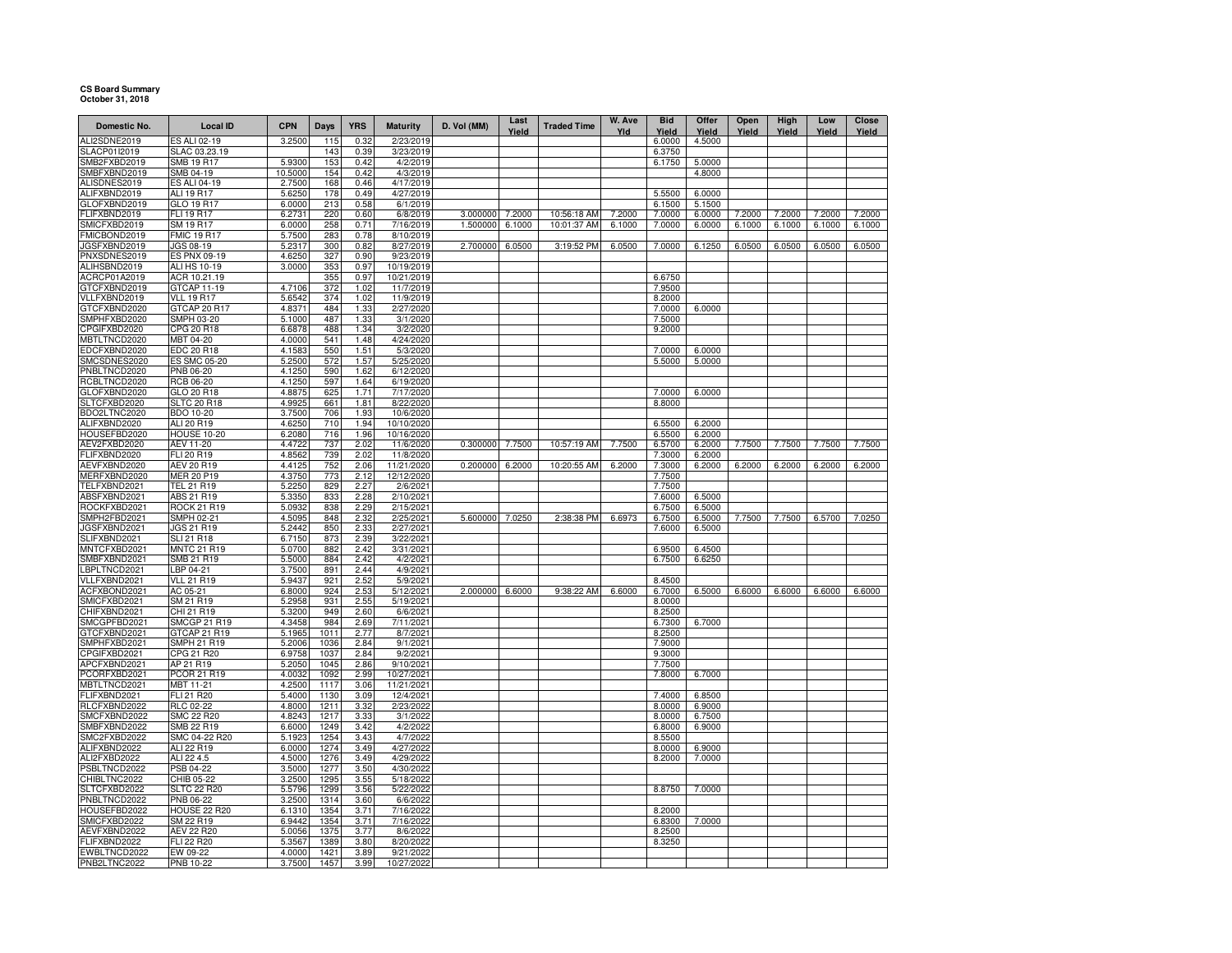## **CS Board Summary October 31, 2018**

| Domestic No.                 | <b>Local ID</b>                 | <b>CPN</b>       | Days         | <b>YRS</b>   | <b>Maturity</b>          | D. Vol (MM) | Last<br>Yield | <b>Traded Time</b> | W. Ave<br>Yld | <b>Bid</b><br>Yield | Offer<br>Yield | Open<br>Yield | High<br>Yield | Low<br>Yield | <b>Close</b><br>Yield |
|------------------------------|---------------------------------|------------------|--------------|--------------|--------------------------|-------------|---------------|--------------------|---------------|---------------------|----------------|---------------|---------------|--------------|-----------------------|
| ALI2SDNE2019                 | ES ALI 02-19                    | 3.2500           | 115          | 0.32         | 2/23/2019                |             |               |                    |               | 6.0000              | 4.5000         |               |               |              |                       |
| SLACP01I2019                 | SLAC 03.23.19                   |                  | 143          | 0.39         | 3/23/2019                |             |               |                    |               | 6.3750              |                |               |               |              |                       |
| SMB2FXBD2019                 | SMB 19 R17                      | 5.9300           | 153          | 0.42         | 4/2/2019                 |             |               |                    |               | 6.1750              | 5.0000         |               |               |              |                       |
| SMBFXBND2019                 | SMB 04-19                       | 10.5000          | 154          | 0.42         | 4/3/2019                 |             |               |                    |               |                     | 4.8000         |               |               |              |                       |
| ALISDNES2019                 | ES ALI 04-19                    | 2.7500           | 168          | 0.46         | 4/17/2019                |             |               |                    |               |                     |                |               |               |              |                       |
| ALIFXBND2019                 | ALI 19 R17                      | 5.6250           | 178          | 0.49         | 4/27/2019                |             |               |                    |               | 5.5500              | 6.0000         |               |               |              |                       |
| GLOFXBND2019                 | GLO 19 R17                      | 6.0000           | 213          | 0.58         | 6/1/2019                 |             |               |                    |               | 6.1500              | 5.1500         |               |               |              |                       |
| FLIFXBND2019                 | FLI 19 R17                      | 6.2731           | 220          | 0.60         | 6/8/2019                 | 3.000000    | 7.2000        | 10:56:18 AM        | 7.2000        | 7.0000              | 6.0000         | 7.2000        | 7.2000        | 7.2000       | 7.2000                |
| SMICFXBD2019<br>FMICBOND2019 | SM 19 R17<br><b>FMIC 19 R17</b> | 6.0000<br>5.7500 | 258<br>283   | 0.71<br>0.78 | 7/16/2019<br>8/10/2019   | 1.500000    | 6.1000        | 10:01:37 AM        | 6.1000        | 7.0000              | 6.0000         | 6.1000        | 6.1000        | 6.1000       | 6.1000                |
| <b>JGSFXBND2019</b>          | JGS 08-19                       | 5.2317           | 300          | 0.82         | 8/27/2019                | 2.700000    | 6.0500        | 3:19:52 PM         | 6.0500        | 7.0000              | 6.1250         | 6.0500        | 6.0500        | 6.0500       | 6.0500                |
| PNXSDNES2019                 | ES PNX 09-19                    | 4.6250           | 327          | 0.90         | 9/23/2019                |             |               |                    |               |                     |                |               |               |              |                       |
| ALIHSBND2019                 | <b>ALI HS 10-19</b>             | 3.0000           | 353          | 0.97         | 10/19/2019               |             |               |                    |               |                     |                |               |               |              |                       |
| ACRCP01A2019                 | ACR 10.21.19                    |                  | 355          | 0.97         | 10/21/2019               |             |               |                    |               | 6.6750              |                |               |               |              |                       |
| GTCFXBND2019                 | GTCAP 11-19                     | 4.7106           | 372          | 1.02         | 11/7/2019                |             |               |                    |               | 7.9500              |                |               |               |              |                       |
| VLLFXBND2019                 | <b>VLL 19 R17</b>               | 5.6542           | 374          | 1.02         | 11/9/2019                |             |               |                    |               | 8.2000              |                |               |               |              |                       |
| GTCFXBND2020                 | GTCAP 20 R17                    | 4.8371           | 484          | 1.33         | 2/27/2020                |             |               |                    |               | 7.0000              | 6,0000         |               |               |              |                       |
| SMPHFXBD2020                 | SMPH 03-20                      | 5.1000           | 487          | 1.33         | 3/1/2020                 |             |               |                    |               | 7.5000              |                |               |               |              |                       |
| CPGIFXBD2020                 | CPG 20 R18                      | 6.6878           | 488          | 1.34         | 3/2/2020                 |             |               |                    |               | 9.2000              |                |               |               |              |                       |
| MBTLTNCD2020                 | MBT 04-20                       | 4.0000           | 541          | 1.48         | 4/24/2020                |             |               |                    |               |                     |                |               |               |              |                       |
| EDCFXBND2020                 | <b>EDC 20 R18</b>               | 4.1583           | 550          | 1.51         | 5/3/2020                 |             |               |                    |               | 7.0000              | 6.0000         |               |               |              |                       |
| SMCSDNES2020                 | ES SMC 05-20                    | 5.2500           | 572          | 1.57         | 5/25/2020                |             |               |                    |               | 5.5000              | 5.0000         |               |               |              |                       |
| PNBLTNCD2020                 | <b>PNB 06-20</b>                | 4.1250           | 590          | 1.62         | 6/12/2020                |             |               |                    |               |                     |                |               |               |              |                       |
| RCBLTNCD2020                 | RCB 06-20                       | 4.1250           | 597          | 1.64         | 6/19/2020                |             |               |                    |               |                     |                |               |               |              |                       |
| GLOFXBND2020                 | GLO 20 R18                      | 4.8875           | 625          | 1.71         | 7/17/2020                |             |               |                    |               | 7.0000              | 6.0000         |               |               |              |                       |
| SLTCFXBD2020                 | <b>SLTC 20 R18</b>              | 4.9925           | 661          | 1.81         | 8/22/2020                |             |               |                    |               | 8.8000              |                |               |               |              |                       |
| BDO2LTNC2020                 | BDO 10-20                       | 3.7500           | 706          | 1.93         | 10/6/2020                |             |               |                    |               |                     |                |               |               |              |                       |
| ALIFXBND2020                 | ALI 20 R19                      | 4.6250           | 710          | 1.94         | 10/10/2020               |             |               |                    |               | 6.5500              | 6.2000         |               |               |              |                       |
| HOUSEFBD2020                 | <b>HOUSE 10-20</b>              | 6.2080           | 716          | 1.96         | 10/16/2020               |             |               |                    |               | 6.5500              | 6.2000         |               |               |              |                       |
| AEV2FXBD2020                 | AEV 11-20                       | 4.4722           | 737          | 2.02         | 11/6/2020                | 0.300000    | 7.7500        | 10:57:19 AM        | 7.7500        | 6.5700              | 6.2000         | 7.7500        | 7.7500        | 7.7500       | 7.7500                |
| FLIFXBND2020                 | FLI 20 R19                      | 4.8562           | 739          | 2.02         | 11/8/2020                |             |               |                    |               | 7.3000              | 6.2000         |               |               |              |                       |
| AEVFXBND2020<br>MERFXBND2020 | AEV 20 R19<br><b>MER 20 P19</b> | 4.4125<br>4.3750 | 752<br>773   | 2.06<br>2.12 | 11/21/2020<br>12/12/2020 | 0.200000    | 6.2000        | 10:20:55 AM        | 6.2000        | 7.3000              | 6.2000         | 6.2000        | 6.2000        | 6.2000       | 6.2000                |
| TELFXBND2021                 | TEL 21 R19                      | 5.2250           | 829          | 2.27         | 2/6/2021                 |             |               |                    |               | 7.7500<br>7.7500    |                |               |               |              |                       |
| ABSFXBND2021                 | ABS 21 R19                      | 5.3350           | 833          | 2.28         | 2/10/2021                |             |               |                    |               | 7.6000              | 6.5000         |               |               |              |                       |
| ROCKFXBD2021                 | <b>ROCK 21 R19</b>              | 5.0932           | 838          | 2.29         | 2/15/2021                |             |               |                    |               | 6.7500              | 6.5000         |               |               |              |                       |
| SMPH2FBD2021                 | SMPH 02-21                      | 4.5095           | 848          | 2.32         | 2/25/2021                | 5.600000    | 7.0250        | 2:38:38 PM         | 6.6973        | 6.7500              | 6.5000         | 7.7500        | 7.7500        | 6.5700       | 7.0250                |
| <b>IGSFXBND2021</b>          | JGS 21 R19                      | 5.2442           | 850          | 2.33         | 2/27/2021                |             |               |                    |               | 7.6000              | 6.5000         |               |               |              |                       |
| SLIFXBND2021                 | <b>SLI 21 R18</b>               | 6.7150           | 873          | 2.39         | 3/22/2021                |             |               |                    |               |                     |                |               |               |              |                       |
| <b>MNTCFXBD2021</b>          | <b>MNTC 21 R19</b>              | 5.0700           | 882          | 2.42         | 3/31/2021                |             |               |                    |               | 6.9500              | 6.4500         |               |               |              |                       |
| SMBFXBND2021                 | SMB 21 R19                      | 5.5000           | 884          | 2.42         | 4/2/2021                 |             |               |                    |               | 6.7500              | 6.6250         |               |               |              |                       |
| BPLTNCD2021                  | LBP 04-21                       | 3.7500           | 891          | 2.44         | 4/9/2021                 |             |               |                    |               |                     |                |               |               |              |                       |
| VLLFXBND2021                 | <b>VLL 21 R19</b>               | 5.9437           | 921          | 2.52         | 5/9/2021                 |             |               |                    |               | 8.4500              |                |               |               |              |                       |
| ACFXBOND2021                 | AC 05-21                        | 6.8000           | 924          | 2.53         | 5/12/2021                | 2.000000    | 6.6000        | 9:38:22 AM         | 6.6000        | 6.7000              | 6.5000         | 6.6000        | 6.6000        | 6.6000       | 6.6000                |
| SMICFXBD2021                 | SM 21 R19                       | 5.2958           | 931          | 2.55         | 5/19/2021                |             |               |                    |               | 8.0000              |                |               |               |              |                       |
| CHIFXBND2021                 | CHI 21 R19                      | 5.3200           | 949          | 2.60         | 6/6/2021                 |             |               |                    |               | 8.2500              |                |               |               |              |                       |
| SMCGPFBD2021                 | <b>SMCGP 21 R19</b>             | 4.3458           | 984          | 2.69         | 7/11/2021                |             |               |                    |               | 6.7300              | 6.7000         |               |               |              |                       |
| GTCFXBND2021                 | GTCAP 21 R19                    | 5.1965           | 1011         | 2.77         | 8/7/2021                 |             |               |                    |               | 8.2500              |                |               |               |              |                       |
| SMPHFXBD2021                 | <b>SMPH 21 R19</b>              | 5.2006           | 1036         | 2.84         | 9/1/2021                 |             |               |                    |               | 7.9000              |                |               |               |              |                       |
| CPGIFXBD2021                 | CPG 21 R20                      | 6.9758           | 1037         | 2.84         | 9/2/2021                 |             |               |                    |               | 9.3000              |                |               |               |              |                       |
| APCFXBND2021<br>PCORFXBD2021 | AP 21 R19<br>PCOR 21 R19        | 5.2050<br>4.0032 | 1045<br>1092 | 2.86<br>2.99 | 9/10/2021<br>10/27/2021  |             |               |                    |               | 7.7500<br>7.8000    | 6.7000         |               |               |              |                       |
| MBTLTNCD2021                 | MBT 11-21                       | 4.2500           | 1117         | 3.06         | 11/21/2021               |             |               |                    |               |                     |                |               |               |              |                       |
| FLIFXBND2021                 | FLI 21 R20                      | 5.4000           | 1130         | 3.09         | 12/4/2021                |             |               |                    |               | 7.4000              | 6.8500         |               |               |              |                       |
| RLCFXBND2022                 | <b>RLC 02-22</b>                | 4.8000           | 1211         | 3.32         | 2/23/2022                |             |               |                    |               | 8.0000              | 6.9000         |               |               |              |                       |
| SMCFXBND2022                 | SMC 22 R20                      | 4.8243           | 1217         | 3.33         | 3/1/2022                 |             |               |                    |               | 8.0000              | 6.7500         |               |               |              |                       |
| SMBFXBND2022                 | SMB 22 R19                      | 6.6000           | 1249         | 3.42         | 4/2/2022                 |             |               |                    |               | 6.8000              | 6.9000         |               |               |              |                       |
| SMC2FXBD2022                 | SMC 04-22 R20                   | 5.1923           | 1254         | 3.43         | 4/7/2022                 |             |               |                    |               | 8.5500              |                |               |               |              |                       |
| ALIFXBND2022                 | ALI 22 R19                      | 6.0000           | 1274         | 3.49         | 4/27/2022                |             |               |                    |               | 8.0000              | 6.9000         |               |               |              |                       |
| ALI2FXBD2022                 | ALI 22 4.5                      | 4.5000           | 1276         | 3.49         | 4/29/2022                |             |               |                    |               | 8.2000              | 7.0000         |               |               |              |                       |
| PSBLTNCD2022                 | PSB 04-22                       | 3.5000           | 1277         | 3.50         | 4/30/2022                |             |               |                    |               |                     |                |               |               |              |                       |
| CHIBLTNC2022                 | CHIB 05-22                      | 3.2500           | 1295         | 3.55         | 5/18/2022                |             |               |                    |               |                     |                |               |               |              |                       |
| SLTCFXBD2022                 | <b>SLTC 22 R20</b>              | 5.5796           | 1299         | 3.56         | 5/22/2022                |             |               |                    |               | 8.8750              | 7.0000         |               |               |              |                       |
| PNBLTNCD2022                 | PNB 06-22                       | 3.2500           | 1314         | 3.60         | 6/6/2022                 |             |               |                    |               |                     |                |               |               |              |                       |
| HOUSEFBD2022                 | HOUSE 22 R20                    | 6.1310           | 1354         | 3.71         | 7/16/2022                |             |               |                    |               | 8.2000              |                |               |               |              |                       |
| SMICFXBD2022                 | SM 22 R19                       | 6.9442           | 1354         | 3.71         | 7/16/2022                |             |               |                    |               | 6.8300              | 7.0000         |               |               |              |                       |
| AEVFXBND2022                 | AEV 22 R20                      | 5.0056           | 1375         | 3.77         | 8/6/2022                 |             |               |                    |               | 8.2500              |                |               |               |              |                       |
| FLIFXBND2022                 | FLI 22 R20                      | 5.3567           | 1389         | 3.80         | 8/20/2022                |             |               |                    |               | 8.3250              |                |               |               |              |                       |
| EWBLTNCD2022                 | EW 09-22                        | 4.0000           | 1421         | 3.89         | 9/21/2022                |             |               |                    |               |                     |                |               |               |              |                       |
| PNB2LTNC2022                 | PNB 10-22                       | 3.7500           | 1457         | 3.99         | 10/27/2022               |             |               |                    |               |                     |                |               |               |              |                       |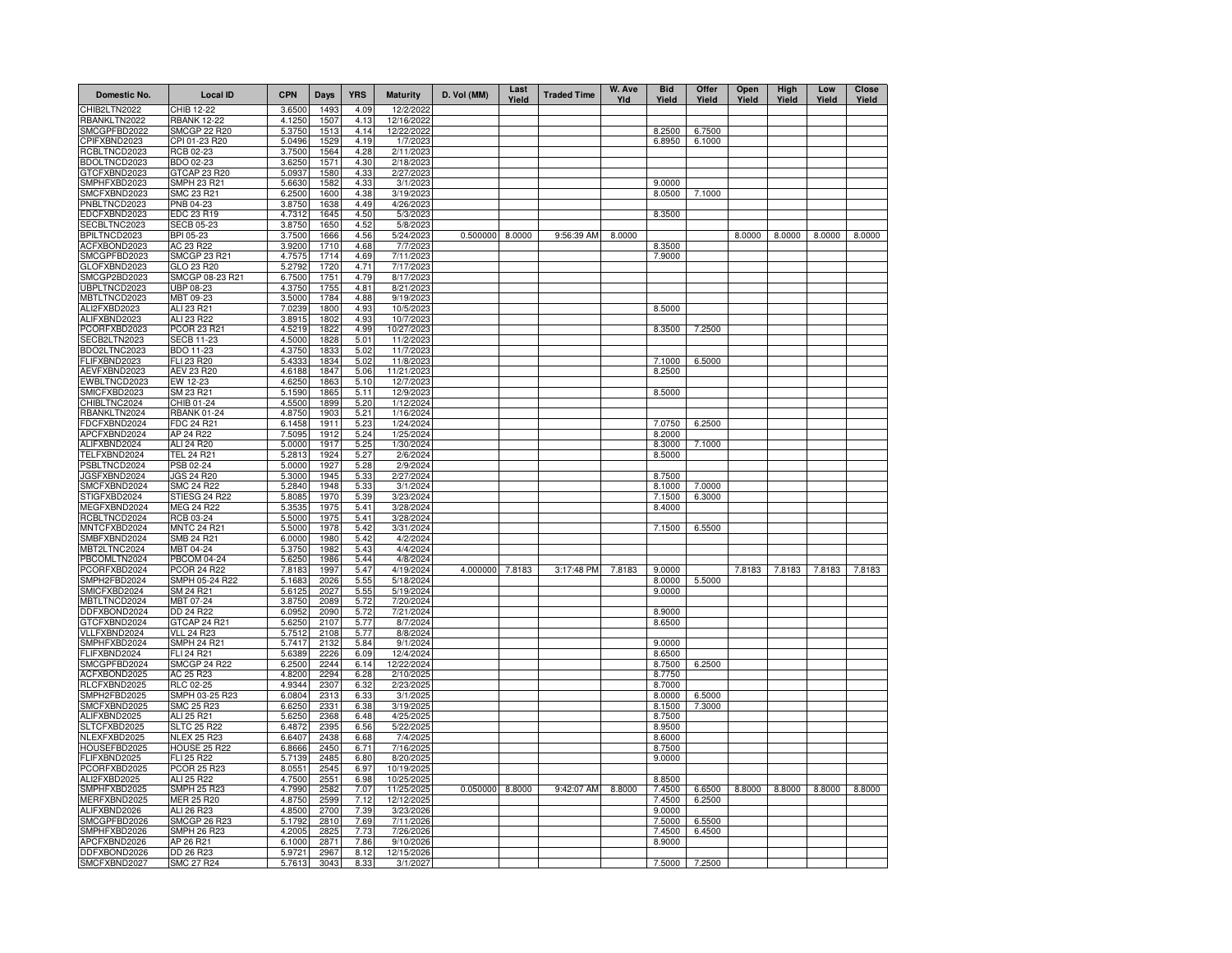| Domestic No.                 | <b>Local ID</b>                          | <b>CPN</b>       | Days         | <b>YRS</b>   | <b>Maturity</b>         | D. Vol (MM)     | Last<br>Yield | <b>Traded Time</b> | W. Ave<br>Yld | <b>Bid</b><br>Yield | Offer<br>Yield | Open<br>Yield | High<br>Yield | Low<br>Yield | <b>Close</b><br>Yield |
|------------------------------|------------------------------------------|------------------|--------------|--------------|-------------------------|-----------------|---------------|--------------------|---------------|---------------------|----------------|---------------|---------------|--------------|-----------------------|
| CHIB2LTN2022                 | CHIB 12-22                               | 3.6500           | 1493         | 4.09         | 12/2/2022               |                 |               |                    |               |                     |                |               |               |              |                       |
| RBANKLTN2022                 | <b>RBANK 12-22</b>                       | 4.1250           | 1507         | 4.13         | 12/16/2022              |                 |               |                    |               |                     |                |               |               |              |                       |
| SMCGPFBD2022                 | <b>SMCGP 22 R20</b>                      | 5.3750           | 1513         | 4.14         | 12/22/2022              |                 |               |                    |               | 8.2500              | 6.7500         |               |               |              |                       |
| CPIFXBND2023<br>RCBLTNCD2023 | CPI 01-23 R20<br>RCB 02-23               | 5.0496<br>3.7500 | 1529<br>1564 | 4.19<br>4.28 | 1/7/2023<br>2/11/2023   |                 |               |                    |               | 6.8950              | 6.1000         |               |               |              |                       |
| BDOLTNCD2023                 | BDO 02-23                                | 3.6250           | 1571         | 4.30         | 2/18/2023               |                 |               |                    |               |                     |                |               |               |              |                       |
| GTCFXBND2023                 | GTCAP 23 R20                             | 5.0937           | 1580         | 4.33         | 2/27/2023               |                 |               |                    |               |                     |                |               |               |              |                       |
| SMPHFXBD2023                 | SMPH 23 R21                              | 5.6630           | 1582         | 4.33         | 3/1/2023                |                 |               |                    |               | 9.0000              |                |               |               |              |                       |
| SMCFXBND2023                 | SMC 23 R21                               | 6.2500           | 1600         | 4.38         | 3/19/2023               |                 |               |                    |               | 8.0500              | 7.1000         |               |               |              |                       |
| PNBLTNCD2023                 | PNB 04-23                                | 3.8750           | 1638         | 4.49         | 4/26/2023               |                 |               |                    |               |                     |                |               |               |              |                       |
| EDCFXBND2023                 | EDC 23 R19                               | 4.7312           | 1645         | 4.50         | 5/3/2023                |                 |               |                    |               | 8.3500              |                |               |               |              |                       |
| SECBLTNC2023                 | <b>SECB 05-23</b>                        | 3.8750           | 1650         | 4.52         | 5/8/2023                |                 |               |                    |               |                     |                |               |               |              |                       |
| BPILTNCD2023<br>ACFXBOND2023 | BPI 05-23<br>AC 23 R22                   | 3.7500<br>3.9200 | 1666<br>1710 | 4.56         | 5/24/2023<br>7/7/2023   | 0.500000        | 8.0000        | 9:56:39 AM         | 8.0000        |                     |                | 8.0000        | 8.0000        | 8.0000       | 8.0000                |
| SMCGPFBD2023                 | <b>SMCGP 23 R21</b>                      | 4.7575           | 1714         | 4.68<br>4.69 | 7/11/2023               |                 |               |                    |               | 8.3500<br>7.9000    |                |               |               |              |                       |
| GLOFXBND2023                 | GLO 23 R20                               | 5.2792           | 1720         | 4.71         | 7/17/2023               |                 |               |                    |               |                     |                |               |               |              |                       |
| SMCGP2BD2023                 | SMCGP 08-23 R21                          | 6.7500           | 1751         | 4.79         | 8/17/2023               |                 |               |                    |               |                     |                |               |               |              |                       |
| UBPLTNCD2023                 | UBP 08-23                                | 4.3750           | 1755         | 4.81         | 8/21/2023               |                 |               |                    |               |                     |                |               |               |              |                       |
| MBTLTNCD2023                 | MBT 09-23                                | 3.5000           | 1784         | 4.88         | 9/19/2023               |                 |               |                    |               |                     |                |               |               |              |                       |
| ALI2FXBD2023                 | ALI 23 R21                               | 7.0239           | 1800         | 4.93         | 10/5/2023               |                 |               |                    |               | 8.5000              |                |               |               |              |                       |
| ALIFXBND2023                 | ALI 23 R22                               | 3.8915           | 1802         | 4.93         | 10/7/2023               |                 |               |                    |               |                     |                |               |               |              |                       |
| PCORFXBD2023                 | <b>PCOR 23 R21</b>                       | 4.5219           | 1822         | 4.99         | 10/27/2023              |                 |               |                    |               | 8.3500              | 7.2500         |               |               |              |                       |
| SECB2LTN2023<br>BDO2LTNC2023 | <b>SECB 11-23</b><br>BDO 11-23           | 4.5000<br>4.3750 | 1828<br>1833 | 5.01<br>5.02 | 11/2/2023<br>11/7/2023  |                 |               |                    |               |                     |                |               |               |              |                       |
| FLIFXBND2023                 | FLI 23 R20                               | 5.4333           | 1834         | 5.02         | 11/8/2023               |                 |               |                    |               | 7.1000              | 6.5000         |               |               |              |                       |
| AEVFXBND2023                 | AEV 23 R20                               | 4.6188           | 1847         | 5.06         | 11/21/2023              |                 |               |                    |               | 8.2500              |                |               |               |              |                       |
| EWBLTNCD2023                 | EW 12-23                                 | 4.6250           | 1863         | 5.10         | 12/7/2023               |                 |               |                    |               |                     |                |               |               |              |                       |
| SMICFXBD2023                 | SM 23 R21                                | 5.1590           | 1865         | 5.11         | 12/9/2023               |                 |               |                    |               | 8.5000              |                |               |               |              |                       |
| CHIBLTNC2024                 | CHIB 01-24                               | 4.5500           | 1899         | 5.20         | 1/12/2024               |                 |               |                    |               |                     |                |               |               |              |                       |
| RBANKLTN2024                 | <b>RBANK 01-24</b>                       | 4.8750           | 1903         | 5.21         | 1/16/2024               |                 |               |                    |               |                     |                |               |               |              |                       |
| FDCFXBND2024                 | FDC 24 R21                               | 6.1458           | 1911         | 5.23         | 1/24/2024               |                 |               |                    |               | 7.0750              | 6.2500         |               |               |              |                       |
| APCFXBND2024                 | AP 24 R22                                | 7.5095           | 1912         | 5.24         | 1/25/2024               |                 |               |                    |               | 8.2000              |                |               |               |              |                       |
| ALIFXBND2024<br>TELFXBND2024 | ALI 24 R20<br>TEL 24 R21                 | 5.0000<br>5.2813 | 1917<br>1924 | 5.25<br>5.27 | 1/30/2024<br>2/6/2024   |                 |               |                    |               | 8.3000<br>8.5000    | 7.1000         |               |               |              |                       |
| PSBLTNCD2024                 | PSB 02-24                                | 5.0000           | 1927         | 5.28         | 2/9/2024                |                 |               |                    |               |                     |                |               |               |              |                       |
| JGSFXBND2024                 | <b>JGS 24 R20</b>                        | 5.3000           | 1945         | 5.33         | 2/27/2024               |                 |               |                    |               | 8.7500              |                |               |               |              |                       |
| SMCFXBND2024                 | <b>SMC 24 R22</b>                        | 5.2840           | 1948         | 5.33         | 3/1/2024                |                 |               |                    |               | 8.1000              | 7.0000         |               |               |              |                       |
| STIGFXBD2024                 | STIESG 24 R22                            | 5.8085           | 1970         | 5.39         | 3/23/2024               |                 |               |                    |               | 7.1500              | 6.3000         |               |               |              |                       |
| MEGFXBND2024                 | MEG 24 R22                               | 5.3535           | 1975         | 5.41         | 3/28/2024               |                 |               |                    |               | 8.4000              |                |               |               |              |                       |
| RCBLTNCD2024                 | RCB 03-24                                | 5.5000           | 1975         | 5.41         | 3/28/2024               |                 |               |                    |               |                     |                |               |               |              |                       |
| MNTCFXBD2024                 | <b>MNTC 24 R21</b>                       | 5.5000           | 1978         | 5.42         | 3/31/2024               |                 |               |                    |               | 7.1500              | 6.5500         |               |               |              |                       |
| SMBFXBND2024                 | SMB 24 R21                               | 6.0000           | 1980         | 5.42         | 4/2/2024                |                 |               |                    |               |                     |                |               |               |              |                       |
| MBT2LTNC2024<br>PBCOMLTN2024 | MBT 04-24<br><b>PBCOM 04-24</b>          | 5.3750<br>5.6250 | 1982<br>1986 | 5.43<br>5.44 | 4/4/2024<br>4/8/2024    |                 |               |                    |               |                     |                |               |               |              |                       |
| PCORFXBD2024                 | <b>PCOR 24 R22</b>                       | 7.8183           | 1997         | 5.47         | 4/19/2024               | 4.000000 7.8183 |               | 3:17:48 PM         | 7.8183        | 9.0000              |                | 7.8183        | 7.8183        | 7.8183       | 7.8183                |
| SMPH2FBD2024                 | SMPH 05-24 R22                           | 5.1683           | 2026         | 5.55         | 5/18/2024               |                 |               |                    |               | 8.0000              | 5.5000         |               |               |              |                       |
| SMICFXBD2024                 | SM 24 R21                                | 5.6125           | 2027         | 5.55         | 5/19/2024               |                 |               |                    |               | 9.0000              |                |               |               |              |                       |
| MBTLTNCD2024                 | MBT 07-24                                | 3.8750           | 2089         | 5.72         | 7/20/2024               |                 |               |                    |               |                     |                |               |               |              |                       |
| DDFXBOND2024                 | DD 24 R22                                | 6.0952           | 2090         | 5.72         | 7/21/2024               |                 |               |                    |               | 8.9000              |                |               |               |              |                       |
| GTCFXBND2024                 | GTCAP 24 R21                             | 5.6250           | 2107         | 5.77         | 8/7/2024                |                 |               |                    |               | 8.6500              |                |               |               |              |                       |
| VLLFXBND2024                 | <b>VLL 24 R23</b>                        | 5.7512           | 2108         | 5.77         | 8/8/2024                |                 |               |                    |               |                     |                |               |               |              |                       |
| SMPHFXBD2024                 | <b>SMPH 24 R21</b>                       | 5.7417           | 2132         | 5.84         | 9/1/2024                |                 |               |                    |               | 9.0000              |                |               |               |              |                       |
| FLIFXBND2024<br>SMCGPFBD2024 | <b>FLI 24 R21</b><br><b>SMCGP 24 R22</b> | 5.6389<br>6.2500 | 2226<br>2244 | 6.09         | 12/4/2024<br>12/22/2024 |                 |               |                    |               | 8.6500<br>8.7500    | 6.2500         |               |               |              |                       |
| ACFXBOND2025                 | AC 25 R23                                | 4.8200           | 2294         | 6.14<br>6.28 | 2/10/2025               |                 |               |                    |               | 8.7750              |                |               |               |              |                       |
| RLCFXBND2025                 | RLC 02-25                                | 4.9344           | 2307         | 6.32         | 2/23/2025               |                 |               |                    |               | 8.7000              |                |               |               |              |                       |
| SMPH2FBD2025                 | SMPH 03-25 R23                           | 6.0804           | 2313         | 6.33         | 3/1/2025                |                 |               |                    |               | 8.0000              | 6.5000         |               |               |              |                       |
| SMCFXBND2025                 | SMC 25 R23                               | 6.6250           | 2331         | 6.38         | 3/19/2025               |                 |               |                    |               | 8.1500              | 7.3000         |               |               |              |                       |
| ALIFXBND2025                 | ALI 25 R21                               | 5.6250           | 2368         | 6.48         | 4/25/2025               |                 |               |                    |               | 8.7500              |                |               |               |              |                       |
| SLTCFXBD2025                 | <b>SLTC 25 R22</b>                       | 6.4872           | 2395         | 6.56         | 5/22/2025               |                 |               |                    |               | 8.9500              |                |               |               |              |                       |
| NLEXFXBD2025                 | <b>NLEX 25 R23</b>                       | 6.6407           | 2438         | 6.68         | 7/4/2025                |                 |               |                    |               | 8.6000              |                |               |               |              |                       |
| HOUSEFBD2025                 | HOUSE 25 R22                             | 6.8666           | 2450         | 6.71         | 7/16/2025               |                 |               |                    |               | 8.7500              |                |               |               |              |                       |
| FLIFXBND2025<br>PCORFXBD2025 | <b>FLI 25 R22</b><br><b>PCOR 25 R23</b>  | 5.7139<br>8.055  | 2485<br>2545 | 6.80<br>6.97 | 8/20/2025<br>10/19/2025 |                 |               |                    |               | 9.0000              |                |               |               |              |                       |
| ALI2FXBD2025                 | ALI 25 R22                               | 4.7500           | 2551         | 6.98         | 10/25/2025              |                 |               |                    |               | 8.8500              |                |               |               |              |                       |
| SMPHFXBD2025                 | <b>SMPH 25 R23</b>                       | 4.7990           | 2582         | 7.07         | 11/25/2025              | 0.050000        | 8.8000        | 9:42:07 AM         | 8.8000        | 7.4500              | 6.6500         | 8.8000        | 8.8000        | 8.8000       | 8.8000                |
| MERFXBND2025                 | <b>MER 25 R20</b>                        | 4.8750           | 2599         | 7.12         | 12/12/2025              |                 |               |                    |               | 7.4500              | 6.2500         |               |               |              |                       |
| ALIFXBND2026                 | ALI 26 R23                               | 4.8500           | 2700         | 7.39         | 3/23/2026               |                 |               |                    |               | 9.0000              |                |               |               |              |                       |
| SMCGPFBD2026                 | <b>SMCGP 26 R23</b>                      | 5.1792           | 2810         | 7.69         | 7/11/2026               |                 |               |                    |               | 7.5000              | 6.5500         |               |               |              |                       |
| SMPHFXBD2026                 | <b>SMPH 26 R23</b>                       | 4.2005           | 2825         | 7.73         | 7/26/2026               |                 |               |                    |               | 7.4500              | 6.4500         |               |               |              |                       |
| APCFXBND2026                 | AP 26 R21                                | 6.1000           | 2871         | 7.86         | 9/10/2026               |                 |               |                    |               | 8.9000              |                |               |               |              |                       |
| DDFXBOND2026                 | DD 26 R23                                | 5.9721           | 2967         | 8.12         | 12/15/2026              |                 |               |                    |               |                     |                |               |               |              |                       |
| SMCFXBND2027                 | <b>SMC 27 R24</b>                        | 5.7613           | 3043         | 8.33         | 3/1/2027                |                 |               |                    |               | 7.5000              | 7.2500         |               |               |              |                       |